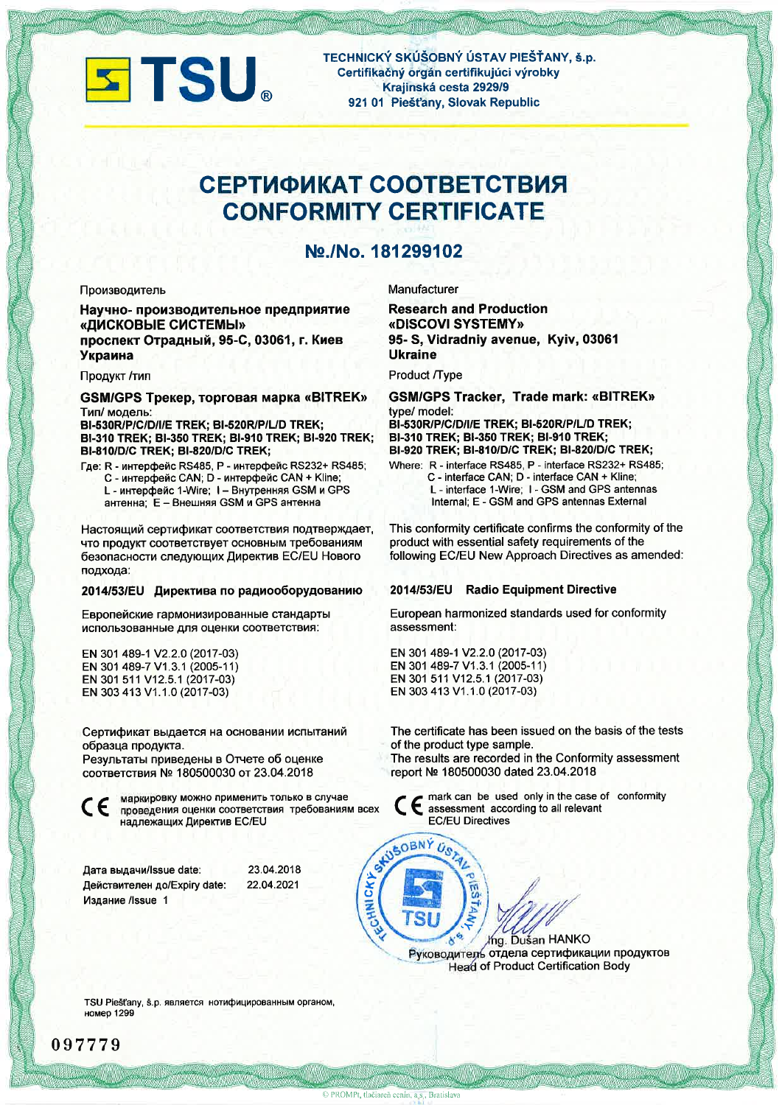

TECHNICKÝ SKÚŠOBNÝ ÚSTAV PIEŠŤANY, š.p. Certifikačný orgán certifikujúci výrobky Krajinská cesta 2929/9 921 01 Piešťany, Slovak Republic

# СЕРТИФИКАТ СООТВЕТСТВИЯ **CONFORMITY CERTIFICATE**

## Nº./No. 181299102

#### Производитель

Научно- производительное предприятие «ДИСКОВЫЕ СИСТЕМЫ» проспект Отрадный, 95-С, 03061, г. Киев Украина

#### Продукт /тип

GSM/GPS Трекер, торговая марка «BITREK» Тип/ модель: BI-530R/P/C/D/I/E TREK; BI-520R/P/L/D TREK;

BI-310 TREK; BI-350 TREK; BI-910 TREK; BI-920 TREK; **BI-810/D/C TREK; BI-820/D/C TREK;** 

Где: R - интерфейс RS485, P - интерфейс RS232+ RS485; С - интерфейс CAN; D - интерфейс CAN + Kline; L - интерфейс 1-Wire: I - Внутренняя GSM и GPS антенна; E - Внешняя GSM и GPS антенна

Настоящий сертификат соответствия подтверждает, что продукт соответствует основным требованиям безопасности следующих Директив EC/EU Нового подхода:

#### 2014/53/EU Директива по радиооборудованию

Европейские гармонизированные стандарты использованные для оценки соответствия:

EN 301 489-1 V2.2.0 (2017-03) EN 301 489-7 V1.3.1 (2005-11) EN 301 511 V12.5.1 (2017-03) EN 303 413 V1.1.0 (2017-03)

Сертификат выдается на основании испытаний образца продукта.

Результаты приведены в Отчете об оценке соответствия № 180500030 от 23.04.2018

маркировку можно применить только в случае CE проведения оценки соответствия требованиям всех надлежащих Директив EC/EU

| Дата выдачи/Issue date:      | 23.04.2018 |
|------------------------------|------------|
| Действителен до/Expiry date: | 22.04.2021 |
| Издание /Issue 1             |            |

Manufacturer

**Research and Production** «DISCOVI SYSTEMY» 95- S. Vidradniv avenue, Kviv, 03061 **Ukraine** 

Product /Type

**GSM/GPS Tracker, Trade mark: «BITREK»** type/ model: BI-530R/P/C/D/I/E TREK; BI-520R/P/L/D TREK; BI-310 TREK; BI-350 TREK; BI-910 TREK; BI-920 TREK; BI-810/D/C TREK; BI-820/D/C TREK;

Where: R - interface RS485, P - interface RS232+ RS485; C - interface CAN; D - interface CAN + Kline; L - interface 1-Wire; I - GSM and GPS antennas Internal; E - GSM and GPS antennas External

This conformity certificate confirms the conformity of the product with essential safety requirements of the following EC/EU New Approach Directives as amended:

### 2014/53/EU Radio Equipment Directive

European harmonized standards used for conformity assessment:

EN 301 489-1 V2.2.0 (2017-03) EN 301 489-7 V1.3.1 (2005-11) EN 301 511 V12.5.1 (2017-03) EN 303 413 V1.1.0 (2017-03)

The certificate has been issued on the basis of the tests of the product type sample.

The results are recorded in the Conformity assessment report № 180500030 dated 23.04.2018

> mark can be used only in the case of conformity assessment according to all relevant **EC/EU Directives**

Ing. Dušan HANKO Руководитель отдела сертификации продуктов **Head of Product Certification Body** 

TSU Piešťany, š.p. является нотифицированным органом, номер 1299

CHNICKY

STUSOBNÝ USTAL